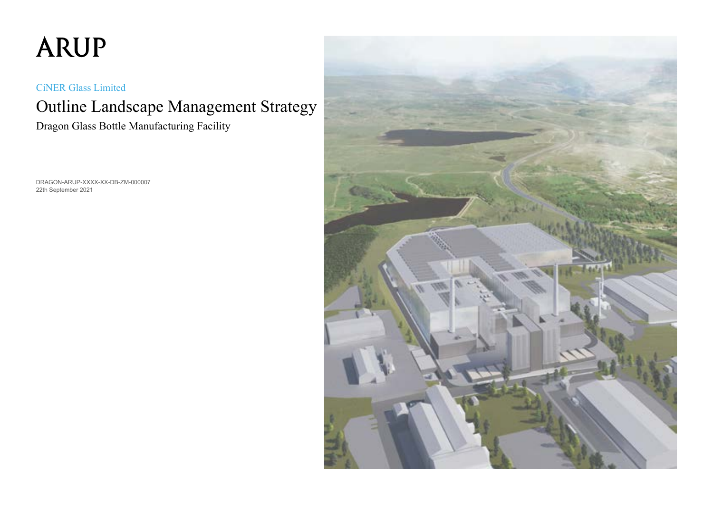# **ARUP**

CiNER Glass Limited

## Outline Landscape Management Strategy Dragon Glass Bottle Manufacturing Facility

DRAGON-ARUP-XXXX-XX-DB-ZM-000007 22th September 2021

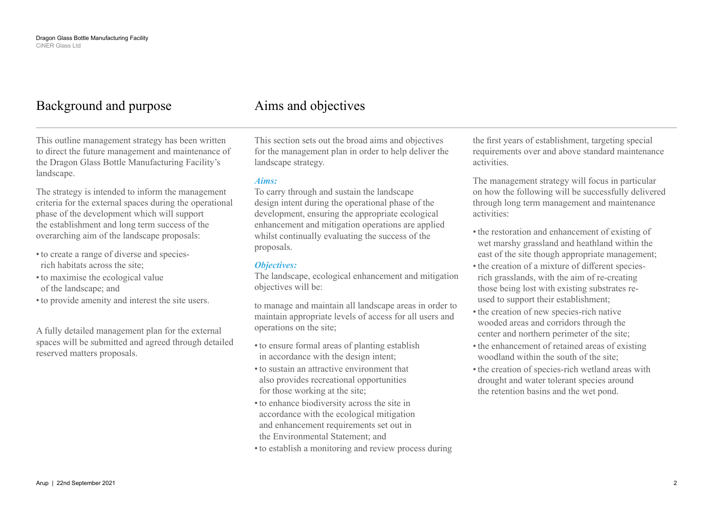## Background and purpose

This outline management strategy has been written to direct the future management and maintenance of the Dragon Glass Bottle Manufacturing Facility's landscape.

The strategy is intended to inform the management criteria for the external spaces during the operational phase of the development which will support the establishment and long term success of the overarching aim of the landscape proposals:

- •to create a range of diverse and speciesrich habitats across the site;
- •to maximise the ecological value of the landscape; and
- •to provide amenity and interest the site users.

A fully detailed management plan for the external spaces will be submitted and agreed through detailed reserved matters proposals.

### Aims and objectives

This section sets out the broad aims and objectives for the management plan in order to help deliver the landscape strategy.

#### *Aims:*

To carry through and sustain the landscape design intent during the operational phase of the development, ensuring the appropriate ecological enhancement and mitigation operations are applied whilst continually evaluating the success of the proposals.

#### *Objectives:*

The landscape, ecological enhancement and mitigation objectives will be:

to manage and maintain all landscape areas in order to maintain appropriate levels of access for all users and operations on the site;

- •to ensure formal areas of planting establish in accordance with the design intent;
- •to sustain an attractive environment that also provides recreational opportunities for those working at the site;
- •to enhance biodiversity across the site in accordance with the ecological mitigation and enhancement requirements set out in the Environmental Statement; and
- •to establish a monitoring and review process during

the first years of establishment, targeting special requirements over and above standard maintenance activities.

The management strategy will focus in particular on how the following will be successfully delivered through long term management and maintenance activities:

- •the restoration and enhancement of existing of wet marshy grassland and heathland within the east of the site though appropriate management;
- the creation of a mixture of different speciesrich grasslands, with the aim of re-creating those being lost with existing substrates reused to support their establishment;
- •the creation of new species-rich native wooded areas and corridors through the center and northern perimeter of the site;
- •the enhancement of retained areas of existing woodland within the south of the site;
- •the creation of species-rich wetland areas with drought and water tolerant species around the retention basins and the wet pond.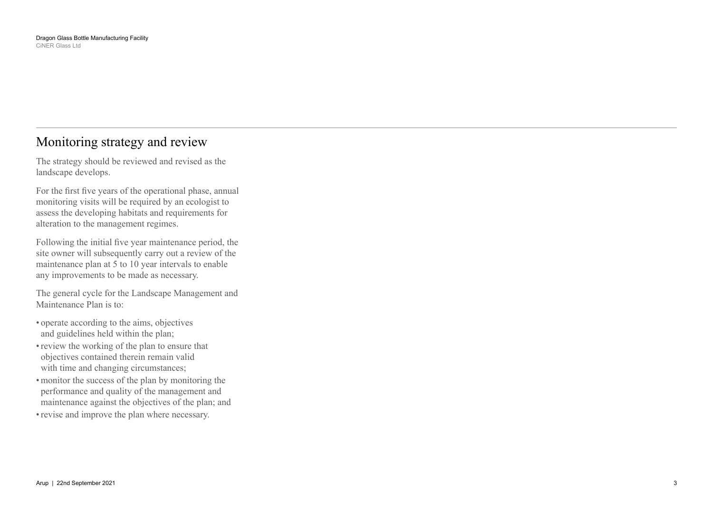### Monitoring strategy and review

The strategy should be reviewed and revised as the landscape develops.

For the first five years of the operational phase, annual monitoring visits will be required by an ecologist to assess the developing habitats and requirements for alteration to the management regimes.

Following the initial five year maintenance period, the site owner will subsequently carry out a review of the maintenance plan at 5 to 10 year intervals to enable any improvements to be made as necessary.

The general cycle for the Landscape Management and Maintenance Plan is to:

- operate according to the aims, objectives and guidelines held within the plan;
- review the working of the plan to ensure that objectives contained therein remain valid with time and changing circumstances;
- monitor the success of the plan by monitoring the performance and quality of the management and maintenance against the objectives of the plan; and
- •revise and improve the plan where necessary.